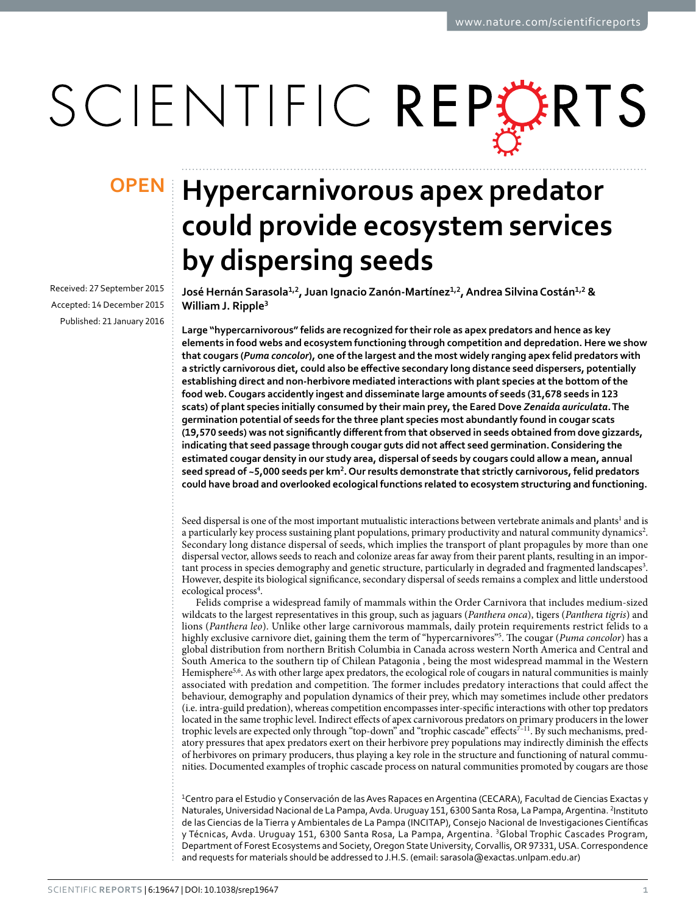# SCIENTIFIC REPERTS

Received: 27 September 2015 accepted: 14 December 2015 Published: 21 January 2016

## **OPEN** Hypercarnivorous apex predator **could provide ecosystem services by dispersing seeds**

**José Hernán Sarasola<sup>1</sup>,<sup>2</sup>, Juan IgnacioZanón-Martínez<sup>1</sup>,<sup>2</sup>, Andrea SilvinaCostán<sup>1</sup>,<sup>2</sup> & William J. Ripple<sup>3</sup>**

**Large "hypercarnivorous" felids are recognized for their role as apex predators and hence as key elements in food webs and ecosystem functioning through competition and depredation. Here we show that cougars (***Puma concolor***), one of the largest and the most widely ranging apex felid predators with a strictly carnivorous diet, could also be effective secondary long distance seed dispersers, potentially establishing direct and non-herbivore mediated interactions with plant species at the bottom of the food web. Cougars accidently ingest and disseminate large amounts of seeds (31,678 seeds in 123 scats) of plant species initially consumed by their main prey, the Eared Dove** *Zenaida auriculata***. The germination potential of seeds for the three plant species most abundantly found in cougar scats (19,570 seeds) was not significantly different from that observed in seeds obtained from dove gizzards, indicating that seed passage through cougar guts did not affect seed germination. Considering the estimated cougar density in our study area, dispersal of seeds by cougars could allow a mean, annual seed spread of ~5,000 seeds per km2. Our results demonstrate that strictly carnivorous, felid predators could have broad and overlooked ecological functions related to ecosystem structuring and functioning.**

Seed dispersal is one of the most important mutualistic interactions between vertebrate animals and plants<sup>1</sup> and is a particularly key process sustaining plant populations, primary productivity and natural community dynamics<sup>[2](#page-4-1)</sup>. Secondary long distance dispersal of seeds, which implies the transport of plant propagules by more than one dispersal vector, allows seeds to reach and colonize areas far away from their parent plants, resulting in an impor-tant process in species demography and genetic structure, particularly in degraded and fragmented landscapes<sup>[3](#page-4-2)</sup>. However, despite its biological significance, secondary dispersal of seeds remains a complex and little understood ecological process<sup>4</sup>.

Felids comprise a widespread family of mammals within the Order Carnivora that includes medium-sized wildcats to the largest representatives in this group, such as jaguars (*Panthera onca*), tigers (*Panthera tigris*) and lions (*Panthera leo*). Unlike other large carnivorous mammals, daily protein requirements restrict felids to a highly exclusive carnivore diet, gaining them the term of "hypercarnivores["5](#page-4-4) . The cougar (*Puma concolor*) has a global distribution from northern British Columbia in Canada across western North America and Central and South America to the southern tip of Chilean Patagonia , being the most widespread mammal in the Western Hemisphere<sup>5[,6](#page-4-5)</sup>. As with other large apex predators, the ecological role of cougars in natural communities is mainly associated with predation and competition. The former includes predatory interactions that could affect the behaviour, demography and population dynamics of their prey, which may sometimes include other predators (i.e. intra-guild predation), whereas competition encompasses inter-specific interactions with other top predators located in the same trophic level. Indirect effects of apex carnivorous predators on primary producers in the lower trophic levels are expected only through "top-down" and "trophic cascade" effects<sup>7-11</sup>. By such mechanisms, predatory pressures that apex predators exert on their herbivore prey populations may indirectly diminish the effects of herbivores on primary producers, thus playing a key role in the structure and functioning of natural communities. Documented examples of trophic cascade process on natural communities promoted by cougars are those

<sup>1</sup>Centro para el Estudio y Conservación de las Aves Rapaces en Argentina (CECARA), Facultad de Ciencias Exactas y Naturales, Universidad Nacional de La Pampa, Avda. Uruguay 151, 6300 Santa Rosa, La Pampa, Argentina. <sup>2</sup>Instituto de las Ciencias de la Tierra y Ambientales de La Pampa (INCITAP), Consejo Nacional de Investigaciones Científicas y Técnicas, Avda. Uruguay 151, 6300 Santa Rosa, La Pampa, Argentina. 3Global Trophic Cascades Program, Department of Forest Ecosystems and Society, Oregon State University, Corvallis, OR 97331, USA. Correspondence and requests for materials should be addressed to J.H.S. (email: [sarasola@exactas.unlpam.edu.ar](mailto:sarasola@exactas.unlpam.edu.ar))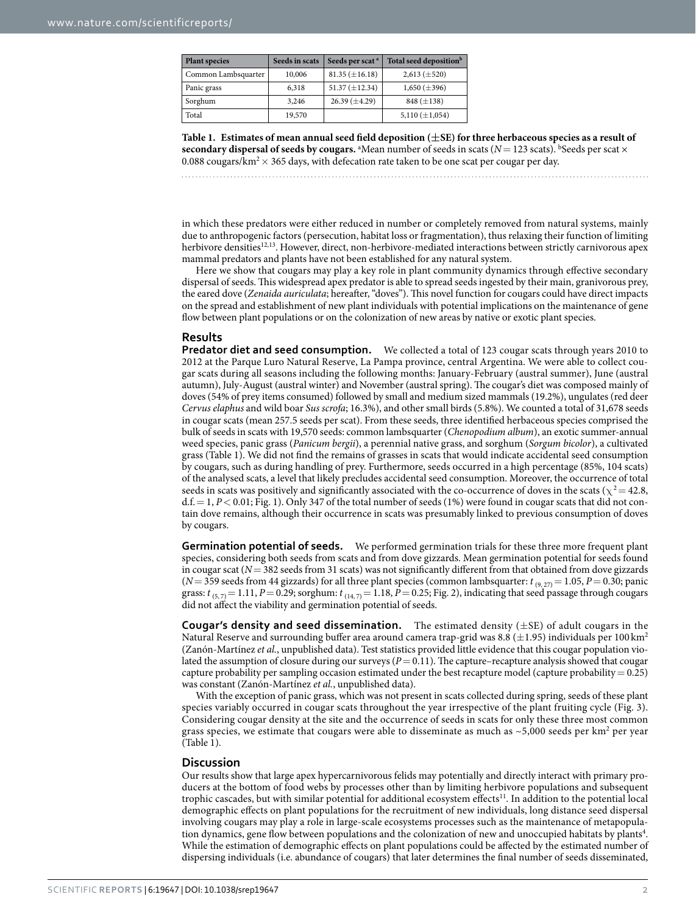<span id="page-1-0"></span>

| <b>Plant species</b> | Seeds in scats | Seeds per scat <sup>a</sup> | Total seed deposition <sup>b</sup> |
|----------------------|----------------|-----------------------------|------------------------------------|
| Common Lambsquarter  | 10,006         | $81.35 \ (\pm 16.18)$       | $2,613 \ (\pm 520)$                |
| Panic grass          | 6,318          | 51.37 $(\pm 12.34)$         | $1,650 (\pm 396)$                  |
| Sorghum              | 3,246          | 26.39 $(\pm 4.29)$          | 848 $(\pm 138)$                    |
| Total                | 19,570         |                             | $5,110 \ (\pm 1,054)$              |

**Table 1. Estimates of mean annual seed field deposition (±SE) for three herbaceous species as a result of**   $s$  secondary dispersal of seeds by cougars.  $^a$ Mean number of seeds in scats ( $N=123$  scats).  $^b$ Seeds per scat  $\times$ 0.088 cougars/ $km^2 \times 365$  days, with defecation rate taken to be one scat per cougar per day.

in which these predators were either reduced in number or completely removed from natural systems, mainly due to anthropogenic factors (persecution, habitat loss or fragmentation), thus relaxing their function of limiting herbivore densities<sup>12,13</sup>. However, direct, non-herbivore-mediated interactions between strictly carnivorous apex mammal predators and plants have not been established for any natural system.

Here we show that cougars may play a key role in plant community dynamics through effective secondary dispersal of seeds. This widespread apex predator is able to spread seeds ingested by their main, granivorous prey, the eared dove (*Zenaida auriculata*; hereafter, "doves"). This novel function for cougars could have direct impacts on the spread and establishment of new plant individuals with potential implications on the maintenance of gene flow between plant populations or on the colonization of new areas by native or exotic plant species.

#### **Results**

**Predator diet and seed consumption.** We collected a total of 123 cougar scats through years 2010 to 2012 at the Parque Luro Natural Reserve, La Pampa province, central Argentina. We were able to collect cougar scats during all seasons including the following months: January-February (austral summer), June (austral autumn), July-August (austral winter) and November (austral spring). The cougar's diet was composed mainly of doves (54% of prey items consumed) followed by small and medium sized mammals (19.2%), ungulates (red deer *Cervus elaphus* and wild boar *Sus scrofa*; 16.3%), and other small birds (5.8%). We counted a total of 31,678 seeds in cougar scats (mean 257.5 seeds per scat). From these seeds, three identified herbaceous species comprised the bulk of seeds in scats with 19,570 seeds: common lambsquarter (*Chenopodium album*), an exotic summer-annual weed species, panic grass (*Panicum bergii*), a perennial native grass, and sorghum (*Sorgum bicolor*), a cultivated grass ([Table 1\)](#page-1-0). We did not find the remains of grasses in scats that would indicate accidental seed consumption by cougars, such as during handling of prey. Furthermore, seeds occurred in a high percentage (85%, 104 scats) of the analysed scats, a level that likely precludes accidental seed consumption. Moreover, the occurrence of total seeds in scats was positively and significantly associated with the co-occurrence of doves in the scats ( $\chi^2$  = 42.8,  $d.f. = 1, P < 0.01$ ; [Fig. 1\)](#page-2-0). Only 347 of the total number of seeds (1%) were found in cougar scats that did not contain dove remains, although their occurrence in scats was presumably linked to previous consumption of doves by cougars.

**Germination potential of seeds.** We performed germination trials for these three more frequent plant species, considering both seeds from scats and from dove gizzards. Mean germination potential for seeds found in cougar scat (*N*= 382 seeds from 31 scats) was not significantly different from that obtained from dove gizzards  $(N=359$  seeds from 44 gizzards) for all three plant species (common lambsquarter:  $t_{(9, 27)} = 1.05$ ,  $P = 0.30$ ; panic grass:  $t_{(5,7)} = 1.11$ ,  $P = 0.29$ ; sorghum:  $t_{(14,7)} = 1.18$ ,  $P = 0.25$ ; [Fig. 2](#page-2-1)), indicating that seed passage through cougars did not affect the viability and germination potential of seeds.

**Cougar's density and seed dissemination.** The estimated density (±SE) of adult cougars in the Natural Reserve and surrounding buffer area around camera trap-grid was 8.8 ( $\pm$ 1.95) individuals per 100 km<sup>2</sup> (Zanón-Martínez *et al.*, unpublished data). Test statistics provided little evidence that this cougar population violated the assumption of closure during our surveys (*P*= 0.11). The capture–recapture analysis showed that cougar capture probability per sampling occasion estimated under the best recapture model (capture probability =  $0.25$ ) was constant (Zanón-Martínez *et al.*, unpublished data).

With the exception of panic grass, which was not present in scats collected during spring, seeds of these plant species variably occurred in cougar scats throughout the year irrespective of the plant fruiting cycle ([Fig. 3](#page-3-0)). Considering cougar density at the site and the occurrence of seeds in scats for only these three most common grass species, we estimate that cougars were able to disseminate as much as ~5,000 seeds per km<sup>2</sup> per year ([Table 1](#page-1-0)).

#### **Discussion**

Our results show that large apex hypercarnivorous felids may potentially and directly interact with primary producers at the bottom of food webs by processes other than by limiting herbivore populations and subsequent trophic cascades, but with similar potential for additional ecosystem effects<sup>11</sup>. In addition to the potential local demographic effects on plant populations for the recruitment of new individuals, long distance seed dispersal involving cougars may play a role in large-scale ecosystems processes such as the maintenance of metapopula-tion dynamics, gene flow between populations and the colonization of new and unoccupied habitats by plants<sup>[4](#page-4-3)</sup>. While the estimation of demographic effects on plant populations could be affected by the estimated number of dispersing individuals (i.e. abundance of cougars) that later determines the final number of seeds disseminated,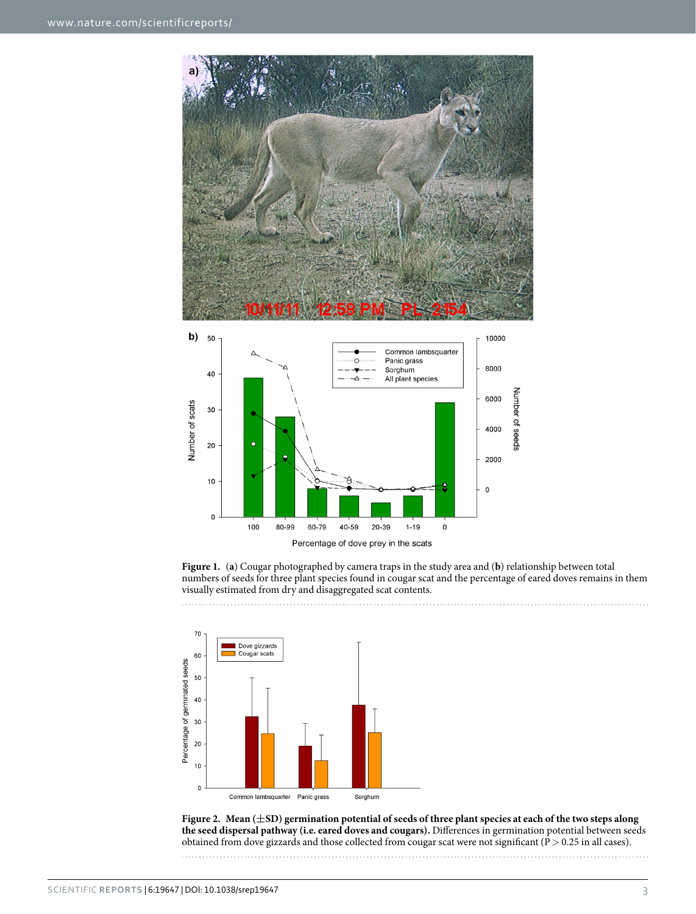

<span id="page-2-0"></span>**Figure 1.** (**a**) Cougar photographed by camera traps in the study area and (**b**) relationship between total numbers of seeds for three plant species found in cougar scat and the percentage of eared doves remains in them visually estimated from dry and disaggregated scat contents.



<span id="page-2-1"></span>**Figure 2. Mean (±SD) germination potential of seeds of three plant species at each of the two steps along the seed dispersal pathway (i.e. eared doves and cougars).** Differences in germination potential between seeds obtained from dove gizzards and those collected from cougar scat were not significant ( $P > 0.25$  in all cases).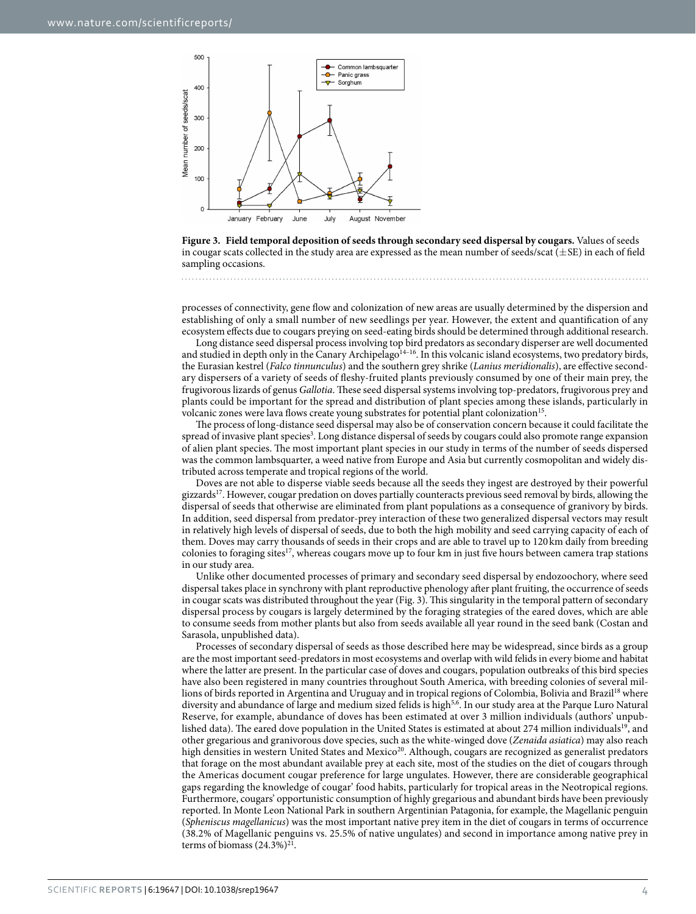

<span id="page-3-0"></span>**Figure 3. Field temporal deposition of seeds through secondary seed dispersal by cougars.** Values of seeds in cougar scats collected in the study area are expressed as the mean number of seeds/scat  $(\pm S E)$  in each of field sampling occasions.

processes of connectivity, gene flow and colonization of new areas are usually determined by the dispersion and establishing of only a small number of new seedlings per year. However, the extent and quantification of any ecosystem effects due to cougars preying on seed-eating birds should be determined through additional research.

Long distance seed dispersal process involving top bird predators as secondary disperser are well documented and studied in depth only in the Canary Archipelago<sup>[14–16](#page-5-2)</sup>. In this volcanic island ecosystems, two predatory birds, the Eurasian kestrel (*Falco tinnunculus*) and the southern grey shrike (*Lanius meridionalis*), are effective secondary dispersers of a variety of seeds of fleshy-fruited plants previously consumed by one of their main prey, the frugivorous lizards of genus *Gallotia*. These seed dispersal systems involving top-predators, frugivorous prey and plants could be important for the spread and distribution of plant species among these islands, particularly in volcanic zones were lava flows create young substrates for potential plant colonization<sup>15</sup>.

The process of long-distance seed dispersal may also be of conservation concern because it could facilitate the spread of invasive plant species<sup>3</sup>. Long distance dispersal of seeds by cougars could also promote range expansion of alien plant species. The most important plant species in our study in terms of the number of seeds dispersed was the common lambsquarter, a weed native from Europe and Asia but currently cosmopolitan and widely distributed across temperate and tropical regions of the world.

Doves are not able to disperse viable seeds because all the seeds they ingest are destroyed by their powerful gizzards<sup>[17](#page-5-4)</sup>. However, cougar predation on doves partially counteracts previous seed removal by birds, allowing the dispersal of seeds that otherwise are eliminated from plant populations as a consequence of granivory by birds. In addition, seed dispersal from predator-prey interaction of these two generalized dispersal vectors may result in relatively high levels of dispersal of seeds, due to both the high mobility and seed carrying capacity of each of them. Doves may carry thousands of seeds in their crops and are able to travel up to 120km daily from breeding colonies to foraging sites<sup>17</sup>, whereas cougars move up to four km in just five hours between camera trap stations in our study area.

Unlike other documented processes of primary and secondary seed dispersal by endozoochory, where seed dispersal takes place in synchrony with plant reproductive phenology after plant fruiting, the occurrence of seeds in cougar scats was distributed throughout the year ([Fig. 3\)](#page-3-0). This singularity in the temporal pattern of secondary dispersal process by cougars is largely determined by the foraging strategies of the eared doves, which are able to consume seeds from mother plants but also from seeds available all year round in the seed bank (Costan and Sarasola, unpublished data).

Processes of secondary dispersal of seeds as those described here may be widespread, since birds as a group are the most important seed-predators in most ecosystems and overlap with wild felids in every biome and habitat where the latter are present. In the particular case of doves and cougars, population outbreaks of this bird species have also been registered in many countries throughout South America, with breeding colonies of several millions of birds reported in Argentina and Uruguay and in tropical regions of Colombia, Bolivia and Brazil<sup>18</sup> where diversity and abundance of large and medium sized felids is high<sup>[5,](#page-4-4)6</sup>. In our study area at the Parque Luro Natural Reserve, for example, abundance of doves has been estimated at over 3 million individuals (authors' unpublished data). The eared dove population in the United States is estimated at about 274 million individuals<sup>19</sup>, and other gregarious and granivorous dove species, such as the white-winged dove (*Zenaida asiatica*) may also reach high densities in western United States and Mexico<sup>20</sup>. Although, cougars are recognized as generalist predators that forage on the most abundant available prey at each site, most of the studies on the diet of cougars through the Americas document cougar preference for large ungulates. However, there are considerable geographical gaps regarding the knowledge of cougar' food habits, particularly for tropical areas in the Neotropical regions. Furthermore, cougars' opportunistic consumption of highly gregarious and abundant birds have been previously reported. In Monte Leon National Park in southern Argentinian Patagonia, for example, the Magellanic penguin (*Spheniscus magellanicus*) was the most important native prey item in the diet of cougars in terms of occurrence (38.2% of Magellanic penguins vs. 25.5% of native ungulates) and second in importance among native prey in terms of biomass  $(24.3\%)^{21}$ .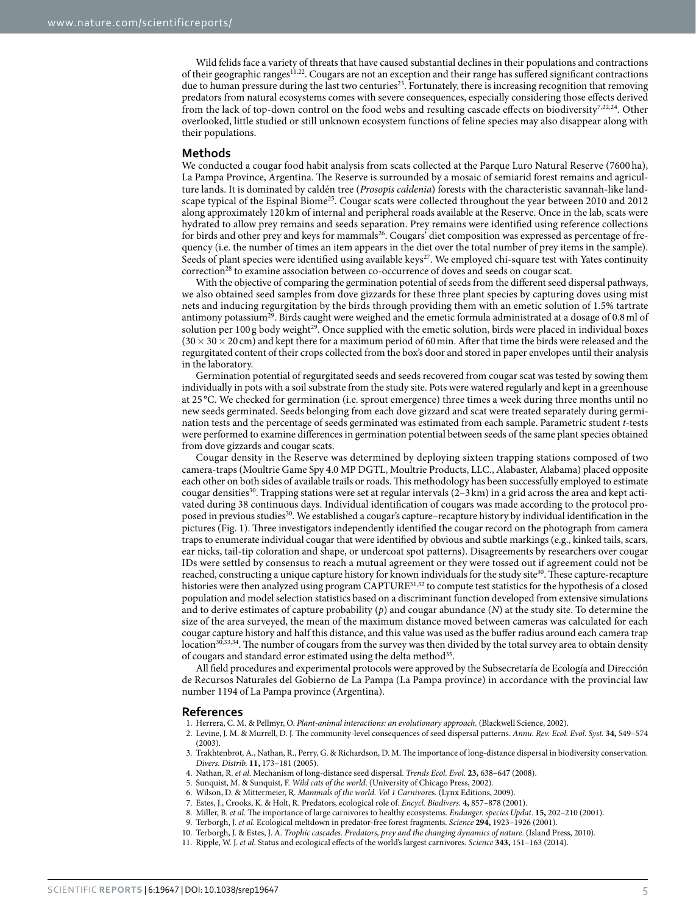Wild felids face a variety of threats that have caused substantial declines in their populations and contractions of their geographic ranges<sup>11,22</sup>. Cougars are not an exception and their range has suffered significant contractions due to human pressure during the last two centuries<sup>23</sup>. Fortunately, there is increasing recognition that removing predators from natural ecosystems comes with severe consequences, especially considering those effects derived from the lack of top-down control on the food webs and resulting cascade effects on biodiversit[y7](#page-4-6)[,22](#page-5-9),[24](#page-5-11). Other overlooked, little studied or still unknown ecosystem functions of feline species may also disappear along with their populations.

#### **Methods**

We conducted a cougar food habit analysis from scats collected at the Parque Luro Natural Reserve (7600 ha), La Pampa Province, Argentina. The Reserve is surrounded by a mosaic of semiarid forest remains and agriculture lands. It is dominated by caldén tree (*Prosopis caldenia*) forests with the characteristic savannah-like land-scape typical of the Espinal Biome<sup>[25](#page-5-12)</sup>. Cougar scats were collected throughout the year between 2010 and 2012 along approximately 120 km of internal and peripheral roads available at the Reserve. Once in the lab, scats were hydrated to allow prey remains and seeds separation. Prey remains were identified using reference collections for birds and other prey and keys for mammals<sup>[26](#page-5-13)</sup>. Cougars' diet composition was expressed as percentage of frequency (i.e. the number of times an item appears in the diet over the total number of prey items in the sample). Seeds of plant species were identified using available keys<sup>[27](#page-5-14)</sup>. We employed chi-square test with Yates continuity correction[28](#page-5-15) to examine association between co-occurrence of doves and seeds on cougar scat.

With the objective of comparing the germination potential of seeds from the different seed dispersal pathways, we also obtained seed samples from dove gizzards for these three plant species by capturing doves using mist nets and inducing regurgitation by the birds through providing them with an emetic solution of 1.5% tartrate antimony potassium<sup>29</sup>. Birds caught were weighed and the emetic formula administrated at a dosage of 0.8 ml of solution per 100 g body weight<sup>29</sup>. Once supplied with the emetic solution, birds were placed in individual boxes  $(30 \times 30 \times 20 \text{ cm})$  and kept there for a maximum period of 60 min. After that time the birds were released and the regurgitated content of their crops collected from the box's door and stored in paper envelopes until their analysis in the laboratory.

Germination potential of regurgitated seeds and seeds recovered from cougar scat was tested by sowing them individually in pots with a soil substrate from the study site. Pots were watered regularly and kept in a greenhouse at 25 °C. We checked for germination (i.e. sprout emergence) three times a week during three months until no new seeds germinated. Seeds belonging from each dove gizzard and scat were treated separately during germination tests and the percentage of seeds germinated was estimated from each sample. Parametric student *t*-tests were performed to examine differences in germination potential between seeds of the same plant species obtained from dove gizzards and cougar scats.

Cougar density in the Reserve was determined by deploying sixteen trapping stations composed of two camera-traps (Moultrie Game Spy 4.0 MP DGTL, Moultrie Products, LLC., Alabaster, Alabama) placed opposite each other on both sides of available trails or roads. This methodology has been successfully employed to estimate cougar densities<sup>30</sup>. Trapping stations were set at regular intervals  $(2-3 \text{ km})$  in a grid across the area and kept activated during 38 continuous days. Individual identification of cougars was made according to the protocol pro-posed in previous studies<sup>[30](#page-5-17)</sup>. We established a cougar's capture–recapture history by individual identification in the pictures [\(Fig. 1\)](#page-2-0). Three investigators independently identified the cougar record on the photograph from camera traps to enumerate individual cougar that were identified by obvious and subtle markings (e.g., kinked tails, scars, ear nicks, tail-tip coloration and shape, or undercoat spot patterns). Disagreements by researchers over cougar IDs were settled by consensus to reach a mutual agreement or they were tossed out if agreement could not be reached, constructing a unique capture history for known individuals for the study site<sup>[30](#page-5-17)</sup>. These capture-recapture histories were then analyzed using program CAPTURE<sup>[31](#page-5-18),[32](#page-5-19)</sup> to compute test statistics for the hypothesis of a closed population and model selection statistics based on a discriminant function developed from extensive simulations and to derive estimates of capture probability (*p*) and cougar abundance (*N*) at the study site. To determine the size of the area surveyed, the mean of the maximum distance moved between cameras was calculated for each cougar capture history and half this distance, and this value was used as the buffer radius around each camera trap location<sup>[30](#page-5-17),[33](#page-5-20),[34](#page-5-21)</sup>. The number of cougars from the survey was then divided by the total survey area to obtain density of cougars and standard error estimated using the delta method<sup>[35](#page-5-22)</sup>.

All field procedures and experimental protocols were approved by the Subsecretaría de Ecología and Dirección de Recursos Naturales del Gobierno de La Pampa (La Pampa province) in accordance with the provincial law number 1194 of La Pampa province (Argentina).

#### **References**

- <span id="page-4-0"></span>1. Herrera, C. M. & Pellmyr, O. *Plant-animal interactions: an evolutionary approach*. (Blackwell Science, 2002).
- <span id="page-4-1"></span>2. Levine, J. M. & Murrell, D. J. The community-level consequences of seed dispersal patterns. *Annu. Rev. Ecol. Evol. Syst.* **34,** 549–574  $(2003)$
- <span id="page-4-2"></span>3. Trakhtenbrot, A., Nathan, R., Perry, G. & Richardson, D. M. The importance of long-distance dispersal in biodiversity conservation. *Divers. Distrib.* **11,** 173–181 (2005).
- <span id="page-4-3"></span>4. Nathan, R. *et al.* Mechanism of long-distance seed dispersal. *Trends Ecol. Evol.* **23,** 638–647 (2008).
- <span id="page-4-5"></span><span id="page-4-4"></span>5. Sunquist, M. & Sunquist, F. *Wild cats of the world*. (University of Chicago Press, 2002).
- 6. Wilson, D. & Mittermeier, R. *Mammals of the world. Vol 1 Carnivore*s. (Lynx Editions, 2009).
- <span id="page-4-6"></span>7. Estes, J., Crooks, K. & Holt, R. Predators, ecological role of. *Encycl. Biodivers.* **4,** 857–878 (2001).
- 8. Miller, B. *et al.* The importance of large carnivores to healthy ecosystems. *Endanger. species Updat*. **15,** 202–210 (2001).
- 9. Terborgh, J. *et al.* Ecological meltdown in predator-free forest fragments. *Science* **294,** 1923–1926 (2001).
- 10. Terborgh, J. & Estes, J. A. *Trophic cascades. Predators, prey and the changing dynamics of nature*. (Island Press, 2010).
- <span id="page-4-7"></span>11. Ripple, W. J. *et al.* Status and ecological effects of the world's largest carnivores. *Science* **343,** 151–163 (2014).